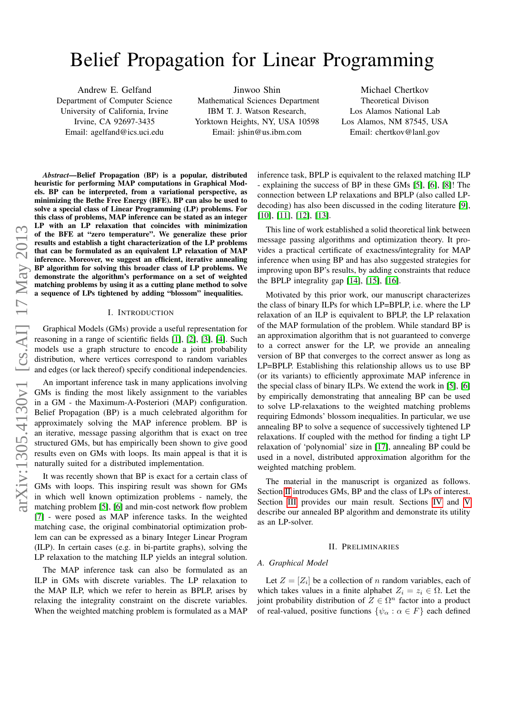# Belief Propagation for Linear Programming

Andrew E. Gelfand Department of Computer Science University of California, Irvine Irvine, CA 92697-3435 Email: agelfand@ics.uci.edu

Jinwoo Shin Mathematical Sciences Department IBM T. J. Watson Research, Yorktown Heights, NY, USA 10598 Email: jshin@us.ibm.com

Michael Chertkov Theoretical Divison Los Alamos National Lab Los Alamos, NM 87545, USA Email: chertkov@lanl.gov

*Abstract*—Belief Propagation (BP) is a popular, distributed heuristic for performing MAP computations in Graphical Models. BP can be interpreted, from a variational perspective, as minimizing the Bethe Free Energy (BFE). BP can also be used to solve a special class of Linear Programming (LP) problems. For this class of problems, MAP inference can be stated as an integer LP with an LP relaxation that coincides with minimization of the BFE at "zero temperature". We generalize these prior results and establish a tight characterization of the LP problems that can be formulated as an equivalent LP relaxation of MAP inference. Moreover, we suggest an efficient, iterative annealing BP algorithm for solving this broader class of LP problems. We demonstrate the algorithm's performance on a set of weighted matching problems by using it as a cutting plane method to solve a sequence of LPs tightened by adding "blossom" inequalities.

## I. INTRODUCTION

Graphical Models (GMs) provide a useful representation for reasoning in a range of scientific fields [\[1\]](#page-4-0), [\[2\]](#page-4-1), [\[3\]](#page-4-2), [\[4\]](#page-4-3). Such models use a graph structure to encode a joint probability distribution, where vertices correspond to random variables and edges (or lack thereof) specify conditional independencies.

An important inference task in many applications involving GMs is finding the most likely assignment to the variables in a GM - the Maximum-A-Posteriori (MAP) configuration. Belief Propagation (BP) is a much celebrated algorithm for approximately solving the MAP inference problem. BP is an iterative, message passing algorithm that is exact on tree structured GMs, but has empirically been shown to give good results even on GMs with loops. Its main appeal is that it is naturally suited for a distributed implementation.

It was recently shown that BP is exact for a certain class of GMs with loops. This inspiring result was shown for GMs in which well known optimization problems - namely, the matching problem [\[5\]](#page-4-4), [\[6\]](#page-4-5) and min-cost network flow problem [\[7\]](#page-4-6) - were posed as MAP inference tasks. In the weighted matching case, the original combinatorial optimization problem can can be expressed as a binary Integer Linear Program (ILP). In certain cases (e.g. in bi-partite graphs), solving the LP relaxation to the matching ILP yields an integral solution.

The MAP inference task can also be formulated as an ILP in GMs with discrete variables. The LP relaxation to the MAP ILP, which we refer to herein as BPLP, arises by relaxing the integrality constraint on the discrete variables. When the weighted matching problem is formulated as a MAP

inference task, BPLP is equivalent to the relaxed matching ILP - explaining the success of BP in these GMs [\[5\]](#page-4-4), [\[6\]](#page-4-5), [\[8\]](#page-4-7)! The connection between LP relaxations and BPLP (also called LPdecoding) has also been discussed in the coding literature [\[9\]](#page-4-8), [\[10\]](#page-4-9), [\[11\]](#page-4-10), [\[12\]](#page-4-11), [\[13\]](#page-4-12).

This line of work established a solid theoretical link between message passing algorithms and optimization theory. It provides a practical certificate of exactness/integrality for MAP inference when using BP and has also suggested strategies for improving upon BP's results, by adding constraints that reduce the BPLP integrality gap  $[14]$ ,  $[15]$ ,  $[16]$ .

Motivated by this prior work, our manuscript characterizes the class of binary ILPs for which LP=BPLP, i.e. where the LP relaxation of an ILP is equivalent to BPLP, the LP relaxation of the MAP formulation of the problem. While standard BP is an approximation algorithm that is not guaranteed to converge to a correct answer for the LP, we provide an annealing version of BP that converges to the correct answer as long as LP=BPLP. Establishing this relationship allows us to use BP (or its variants) to efficiently approximate MAP inference in the special class of binary ILPs. We extend the work in [\[5\]](#page-4-4), [\[6\]](#page-4-5) by empirically demonstrating that annealing BP can be used to solve LP-relaxations to the weighted matching problems requiring Edmonds' blossom inequalities. In particular, we use annealing BP to solve a sequence of successively tightened LP relaxations. If coupled with the method for finding a tight LP relaxation of 'polynomial' size in [\[17\]](#page-4-16), annealing BP could be used in a novel, distributed approximation algorithm for the weighted matching problem.

The material in the manuscript is organized as follows. Section [II](#page-0-0) introduces GMs, BP and the class of LPs of interest. Section [III](#page-2-0) provides our main result. Sections [IV](#page-3-0) and [V](#page-3-1) describe our annealed BP algorithm and demonstrate its utility as an LP-solver.

#### II. PRELIMINARIES

#### <span id="page-0-0"></span>*A. Graphical Model*

Let  $Z = [Z_i]$  be a collection of n random variables, each of which takes values in a finite alphabet  $Z_i = z_i \in \Omega$ . Let the joint probability distribution of  $Z \in \Omega^n$  factor into a product of real-valued, positive functions  $\{\psi_{\alpha} : \alpha \in F\}$  each defined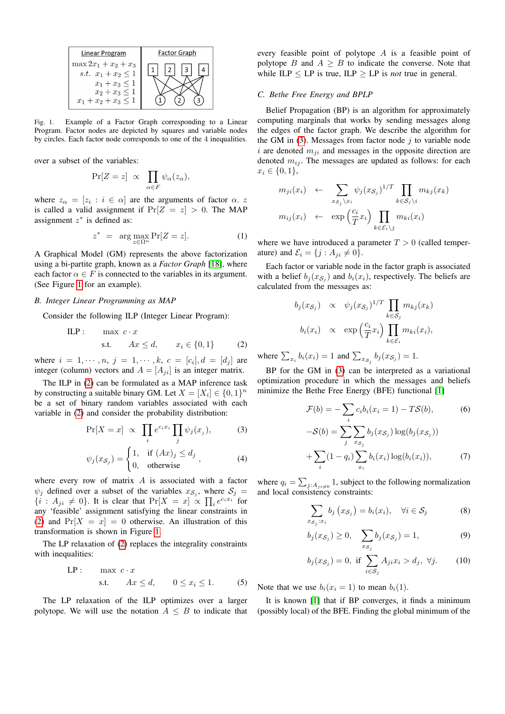

<span id="page-1-0"></span>Fig. 1. Example of a Factor Graph corresponding to a Linear Program. Factor nodes are depicted by squares and variable nodes by circles. Each factor node corresponds to one of the 4 inequalities.

over a subset of the variables:

$$
\Pr[Z = z] \propto \prod_{\alpha \in F} \psi_{\alpha}(z_{\alpha}),
$$

where  $z_{\alpha} = [z_i : i \in \alpha]$  are the arguments of factor  $\alpha$ . z is called a valid assignment if  $Pr[Z = z] > 0$ . The MAP assignment  $z^*$  is defined as:

$$
z^* = \arg\max_{z \in \Omega^n} \Pr[Z = z]. \tag{1}
$$

A Graphical Model (GM) represents the above factorization using a bi-partite graph, known as a *Factor Graph* [\[18\]](#page-4-17), where each factor  $\alpha \in F$  is connected to the variables in its argument. (See Figure [1](#page-1-0) for an example).

# <span id="page-1-4"></span>*B. Integer Linear Programming as MAP*

Consider the following ILP (Integer Linear Program):

ILP: max 
$$
c \cdot x
$$
  
s.t.  $Ax \le d$ ,  $x_i \in \{0, 1\}$  (2)

where  $i = 1, \dots, n, j = 1, \dots, k, c = [c_i], d = [d_j]$  are integer (column) vectors and  $A = [A_{ii}]$  is an integer matrix.

The ILP in [\(2\)](#page-1-1) can be formulated as a MAP inference task by constructing a suitable binary GM. Let  $X = [X_i] \in \{0, 1\}^n$ be a set of binary random variables associated with each variable in [\(2\)](#page-1-1) and consider the probability distribution:

<span id="page-1-2"></span>
$$
\Pr[X = x] \propto \prod_{i} e^{c_i x_i} \prod_{j} \psi_j(x_j), \quad (3)
$$

$$
\psi_j(x_{\mathcal{S}_j}) = \begin{cases} 1, & \text{if } (Ax)_j \le d_j \\ 0, & \text{otherwise} \end{cases}, \tag{4}
$$

where every row of matrix  $A$  is associated with a factor  $\psi_j$  defined over a subset of the variables  $x_{\mathcal{S}_j}$ , where  $\mathcal{S}_j =$  $\{i : A_{ji} \neq 0\}$ . It is clear that  $\Pr[X = x] \propto \prod_i e^{c_i x_i}$  for any 'feasible' assignment satisfying the linear constraints in [\(2\)](#page-1-1) and  $Pr[X = x] = 0$  otherwise. An illustration of this transformation is shown in Figure [1.](#page-1-0)

The LP relaxation of [\(2\)](#page-1-1) replaces the integrality constraints with inequalities:

$$
\text{LP}: \quad \max c \cdot x
$$
\n
$$
\text{s.t.} \quad Ax \leq d, \quad 0 \leq x_i \leq 1. \tag{5}
$$

The LP relaxation of the ILP optimizes over a larger polytope. We will use the notation  $A \leq B$  to indicate that every feasible point of polytope A is a feasible point of polytope B and  $A \geq B$  to indicate the converse. Note that while  $ILP \le LP$  is true,  $ILP \ge LP$  is *not* true in general.

#### *C. Bethe Free Energy and BPLP*

Belief Propagation (BP) is an algorithm for approximately computing marginals that works by sending messages along the edges of the factor graph. We describe the algorithm for the GM in  $(3)$ . Messages from factor node j to variable node i are denoted  $m_{ji}$  and messages in the opposite direction are denoted  $m_{ij}$ . The messages are updated as follows: for each  $x_i \in \{0, 1\},\$ 

$$
m_{ji}(x_i) \leftarrow \sum_{x_{\mathcal{S}_j} \backslash x_i} \psi_j(x_{\mathcal{S}_j})^{1/T} \prod_{k \in \mathcal{S}_j \backslash i} m_{kj}(x_k)
$$

$$
m_{ij}(x_i) \leftarrow \exp\left(\frac{c_i}{T}x_i\right) \prod_{k \in \mathcal{E}_i \backslash j} m_{ki}(x_i)
$$

where we have introduced a parameter  $T > 0$  (called temperature) and  $\mathcal{E}_i = \{j : A_{ji} \neq 0\}.$ 

Each factor or variable node in the factor graph is associated with a belief  $b_j(x_{\mathcal{S}_j})$  and  $b_i(x_i)$ , respectively. The beliefs are calculated from the messages as:

$$
b_j(x_{\mathcal{S}_j}) \propto \psi_j(x_{\mathcal{S}_j})^{1/T} \prod_{k \in \mathcal{S}_j} m_{kj}(x_k)
$$
  

$$
b_i(x_i) \propto \exp\left(\frac{c_i}{T}x_i\right) \prod_{k \in \mathcal{E}_i} m_{ki}(x_i),
$$

<span id="page-1-1"></span>where  $\sum_{x_i} b_i(x_i) = 1$  and  $\sum_{x_{\mathcal{S}_j}} b_j(x_{\mathcal{S}_j}) = 1$ .

BP for the GM in [\(3\)](#page-1-2) can be interpreted as a variational optimization procedure in which the messages and beliefs minimize the Bethe Free Energy (BFE) functional [\[1\]](#page-4-0)

$$
\mathcal{F}(b) = -\sum_{i} c_i b_i (x_i = 1) - T\mathcal{S}(b),
$$
\n
$$
-\mathcal{S}(b) = \sum_{j} \sum_{x_{\mathcal{S}_j}} b_j (x_{\mathcal{S}_j}) \log(b_j (x_{\mathcal{S}_j}))
$$
\n
$$
+ \sum_{i} (1 - q_i) \sum_{x_i} b_i (x_i) \log(b_i (x_i)),
$$
\n(7)

where  $q_i = \sum_{j:A_{ji\neq 0}} 1$ , subject to the following normalization and local consistency constraints:

<span id="page-1-3"></span>
$$
\sum_{x_{\mathcal{S}_j}:x_i} b_j(x_{\mathcal{S}_j}) = b_i(x_i), \quad \forall i \in \mathcal{S}_j \tag{8}
$$

$$
f(x_{\mathcal{S}_j}) \ge 0, \quad \sum_{x_{\mathcal{S}_j}} b_j(x_{\mathcal{S}_j}) = 1,\tag{9}
$$

$$
b_j(x_{\mathcal{S}_j}) = 0, \text{ if } \sum_{i \in \mathcal{S}_j} A_{ji} x_i > d_j, \ \forall j. \tag{10}
$$

<span id="page-1-5"></span>Note that we use  $b_i(x_i = 1)$  to mean  $b_i(1)$ .

 $b<sub>j</sub>$ 

It is known [\[1\]](#page-4-0) that if BP converges, it finds a minimum (possibly local) of the BFE. Finding the global minimum of the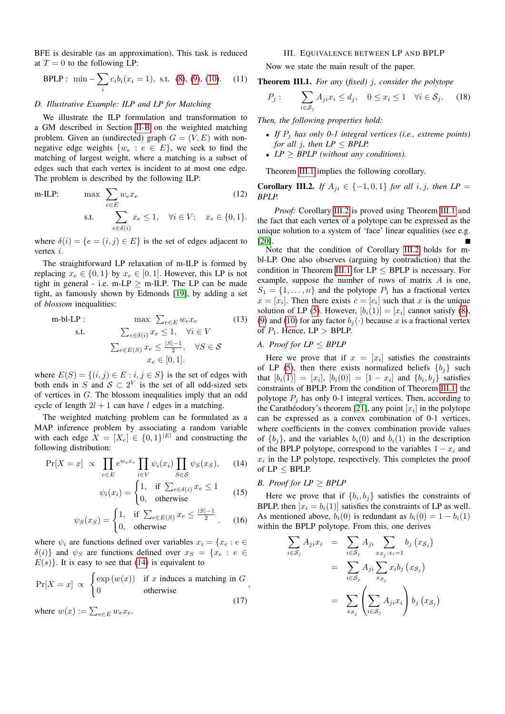BFE is desirable (as an approximation). This task is reduced at  $T = 0$  to the following LP:

$$
\text{BPLP}: \ \min -\sum_{i} c_i b_i (x_i = 1), \ \text{s.t.} \ (8), (9), (10). \tag{11}
$$

## <span id="page-2-4"></span>*D. Illustrative Example: ILP and LP for Matching*

We illustrate the ILP formulation and transformation to a GM described in Section [II-B](#page-1-4) on the weighted matching problem. Given an (undirected) graph  $G = (V, E)$  with nonnegative edge weights  $\{w_e : e \in E\}$ , we seek to find the matching of largest weight, where a matching is a subset of edges such that each vertex is incident to at most one edge. The problem is described by the following ILP:

m-ILP: 
$$
\max \sum_{e \in E} w_e x_e
$$
 (12)  
s.t. 
$$
\sum_{e \in \delta(i)} x_e \le 1, \quad \forall i \in V; \quad x_e \in \{0, 1\}.
$$

where  $\delta(i) = \{e = (i, j) \in E\}$  is the set of edges adjacent to vertex i.

The straightforward LP relaxation of m-ILP is formed by replacing  $x_e \in \{0, 1\}$  by  $x_e \in [0, 1]$ . However, this LP is not tight in general - i.e. m-LP  $>$  m-ILP. The LP can be made tight, as famously shown by Edmonds [\[19\]](#page-4-18), by adding a set of *blossom* inequalities:

m-bl-LP : 
$$
\max \sum_{e \in E} w_e x_e
$$
 (13)  
s.t. 
$$
\sum_{e \in \delta(i)} x_e \le 1, \quad \forall i \in V
$$

$$
\sum_{e \in E(S)} x_e \le \frac{|S|-1}{2}, \quad \forall S \in \mathcal{S}
$$

$$
x_e \in [0, 1].
$$

where  $E(S) = \{(i, j) \in E : i, j \in S\}$  is the set of edges with both ends in S and  $S \subset 2^V$  is the set of all odd-sized sets of vertices in G. The blossom inequalities imply that an odd cycle of length  $2l + 1$  can have l edges in a matching.

The weighted matching problem can be formulated as a MAP inference problem by associating a random variable with each edge  $X = [X_e] \in \{0,1\}^{|E|}$  and constructing the following distribution:

<span id="page-2-1"></span>
$$
\Pr[X = x] \propto \prod_{e \in E} e^{w_e x_e} \prod_{i \in V} \psi_i(x_i) \prod_{S \in \mathcal{S}} \psi_S(x_S), \quad (14)
$$

$$
\psi_i(x_i) = \begin{cases} 1, & \text{if } \sum_{e \in \delta(i)} x_e \le 1 \\ 0, & \text{otherwise} \end{cases} \tag{15}
$$

$$
\psi_S(x_S) = \begin{cases} 1, & \text{if } \sum_{e \in E(S)} x_e \le \frac{|S| - 1}{2} \\ 0, & \text{otherwise} \end{cases} \tag{16}
$$

where  $\psi_i$  are functions defined over variables  $x_i = \{x_e : e \in$  $\delta(i)$ } and  $\psi_S$  are functions defined over  $x_S = \{x_e : e \in$  $E(s)$ . It is easy to see that [\(14\)](#page-2-1) is equivalent to

$$
\Pr[X = x] \propto \begin{cases} \exp(w(x)) & \text{if } x \text{ induces a matching in } G \\ 0 & \text{otherwise} \end{cases}
$$
\n(17)

where  $w(x) := \sum_{e \in E} w_e x_e$ .

# III. EQUIVALENCE BETWEEN LP AND BPLP

<span id="page-2-0"></span>Now we state the main result of the paper.

<span id="page-2-2"></span>Theorem III.1. *For any (fixed)* j*, consider the polytope*

$$
P_j: \qquad \sum_{i \in S_j} A_{ji} x_i \le d_j, \quad 0 \le x_i \le 1 \quad \forall i \in S_j. \tag{18}
$$

*Then, the following properties hold:*

- *If* P<sup>j</sup> *has only 0-1 integral vertices (i.e., extreme points) for all j, then*  $LP \leq BPLP$ .
- *LP* > *BPLP* (without any conditions).

Theorem [III.1](#page-2-2) implies the following corollary.

<span id="page-2-3"></span>**Corollary III.2.** *If*  $A_{ji} \in \{-1,0,1\}$  *for all i, j, then*  $LP =$ *BPLP.*

*Proof:* Corollary [III.2](#page-2-3) is proved using Theorem [III.1](#page-2-2) and the fact that each vertex of a polytope can be expressed as the unique solution to a system of 'face' linear equalities (see e.g. [\[20\]](#page-4-19).

Note that the condition of Corollary [III.2](#page-2-3) holds for mbl-LP. One also observes (arguing by contradiction) that the condition in Theorem [III.1](#page-2-2) for  $LP \leq BPLP$  is necessary. For example, suppose the number of rows of matrix  $A$  is one,  $S_1 = \{1, \ldots, n\}$  and the polytope  $P_1$  has a fractional vertex  $x = [x_i]$ . Then there exists  $c = [c_i]$  such that x is the unique solution of LP [\(5\)](#page-1-5). However,  $[b_i(1)] = [x_i]$  cannot satisfy [\(8\)](#page-1-3), [\(9\)](#page-1-3) and [\(10\)](#page-1-3) for any factor  $b_i(\cdot)$  because x is a fractional vertex of  $P_1$ . Hence,  $LP > BPLP$ .

# *A. Proof for*  $LP \leq BPLP$

Here we prove that if  $x = [x_i]$  satisfies the constraints of LP [\(5\)](#page-1-5), then there exists normalized beliefs  ${b_i}$  such that  $[b_i(1)] = [x_i], [b_i(0)] = [1 - x_i]$  and  $\{b_i, b_j\}$  satisfies constraints of BPLP. From the condition of Theorem [III.1,](#page-2-2) the polytope  $P_j$  has only 0-1 integral vertices. Then, according to the Carathéodory's theorem [\[21\]](#page-4-20), any point  $[x_i]$  in the polytope can be expressed as a convex combination of 0-1 vertices, where coefficients in the convex combination provide values of  $\{b_i\}$ , and the variables  $b_i(0)$  and  $b_i(1)$  in the description of the BPLP polytope, correspond to the variables  $1 - x_i$  and  $x_i$  in the LP polytope, respectively. This completes the proof of LP ≤ BPLP.

## *B. Proof for*  $LP \geq BPLP$

Here we prove that if  $\{b_i, b_j\}$  satisfies the constraints of BPLP, then  $[x_i = b_i(1)]$  satisfies the constraints of LP as well. As mentioned above,  $b_i(0)$  is redundant as  $b_i(0) = 1 - b_i(1)$ within the BPLP polytope. From this, one derives

$$
\sum_{i \in S_j} A_{ji} x_i = \sum_{i \in S_j} A_{ji} \sum_{x_{S_j}: x_i = 1} b_j (x_{S_j})
$$

$$
= \sum_{i \in S_j} A_{ji} \sum_{x_{S_j}} x_i b_j (x_{S_j})
$$

$$
= \sum_{x_{S_j}} \left( \sum_{i \in S_j} A_{ji} x_i \right) b_j (x_{S_j})
$$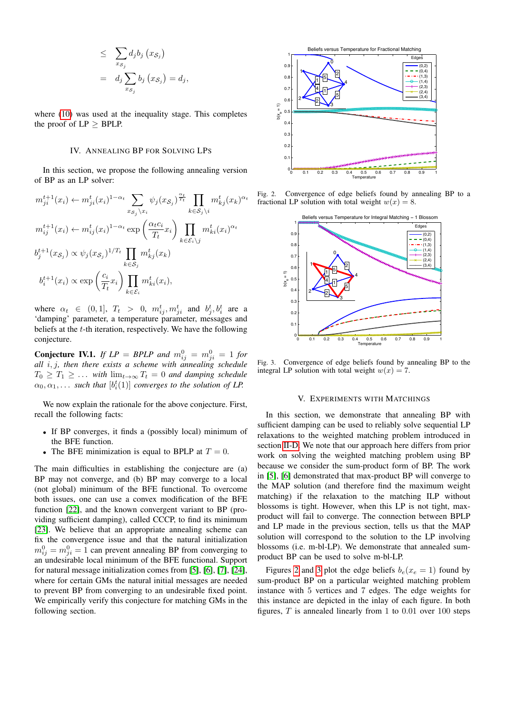$$
\leq \sum_{x_{S_j}} d_j b_j (x_{S_j})
$$
  
=  $d_j \sum_{x_{S_j}} b_j (x_{S_j}) = d_j$ ,

where [\(10\)](#page-1-3) was used at the inequality stage. This completes the proof of  $LP > BPLP$ .

## IV. ANNEALING BP FOR SOLVING LPS

<span id="page-3-0"></span>In this section, we propose the following annealing version of BP as an LP solver:

$$
m_{ji}^{t+1}(x_i) \leftarrow m_{ji}^t(x_i)^{1-\alpha_t} \sum_{x_{\mathcal{S}_j}\setminus x_i} \psi_j(x_{\mathcal{S}_j})^{\frac{\alpha_t}{T_t}} \prod_{k \in \mathcal{S}_j\setminus i} m_{kj}^t(x_k)^{\alpha_t}
$$
  
\n
$$
m_{ij}^{t+1}(x_i) \leftarrow m_{ij}^t(x_i)^{1-\alpha_t} \exp\left(\frac{\alpha_t c_i}{T_t} x_i\right) \prod_{k \in \mathcal{E}_i\setminus j} m_{ki}^t(x_i)^{\alpha_t}
$$
  
\n
$$
b_j^{t+1}(x_{\mathcal{S}_j}) \propto \psi_j(x_{\mathcal{S}_j})^{1/T_t} \prod_{k \in \mathcal{S}_j} m_{kj}^t(x_k)
$$
  
\n
$$
b_i^{t+1}(x_i) \propto \exp\left(\frac{c_i}{T_t} x_i\right) \prod_{k \in \mathcal{E}_i} m_{ki}^t(x_i),
$$

where  $\alpha_t \in (0,1], T_t > 0, m_{ij}^t, m_{ji}^t$  and  $b_j^t, b_i^t$  are a 'damping' parameter, a temperature parameter, messages and beliefs at the  $t$ -th iteration, respectively. We have the following conjecture.

**Conjecture IV.1.** If  $LP = BPLP$  and  $m_{ij}^0 = m_{ji}^0 = 1$  for *all* i, j*, then there exists a scheme with annealing schedule*  $T_0 \geq T_1 \geq \ldots$  *with*  $\lim_{t\to\infty} T_t = 0$  *and damping schedule*  $\alpha_0, \alpha_1, \ldots$  such that  $[b_i^t(1)]$  converges to the solution of LP.

We now explain the rationale for the above conjecture. First, recall the following facts:

- If BP converges, it finds a (possibly local) minimum of the BFE function.
- The BFE minimization is equal to BPLP at  $T = 0$ .

The main difficulties in establishing the conjecture are (a) BP may not converge, and (b) BP may converge to a local (not global) minimum of the BFE functional. To overcome both issues, one can use a convex modification of the BFE function [\[22\]](#page-4-21), and the known convergent variant to BP (providing sufficient damping), called CCCP, to find its minimum [\[23\]](#page-4-22). We believe that an appropriate annealing scheme can fix the convergence issue and that the natural initialization  $m_{ij}^0 = m_{ji}^0 = 1$  can prevent annealing BP from converging to an undesirable local minimum of the BFE functional. Support for natural message initialization comes from [\[5\]](#page-4-4), [\[6\]](#page-4-5), [\[7\]](#page-4-6), [\[24\]](#page-4-23), where for certain GMs the natural initial messages are needed to prevent BP from converging to an undesirable fixed point. We empirically verify this conjecture for matching GMs in the following section.



Fig. 2. Convergence of edge beliefs found by annealing BP to a fractional LP solution with total weight  $w(x) = 8$ .

<span id="page-3-2"></span>

<span id="page-3-3"></span>Fig. 3. Convergence of edge beliefs found by annealing BP to the integral LP solution with total weight  $w(x) = 7$ .

#### V. EXPERIMENTS WITH MATCHINGS

<span id="page-3-1"></span>In this section, we demonstrate that annealing BP with sufficient damping can be used to reliably solve sequential LP relaxations to the weighted matching problem introduced in section [II-D.](#page-2-4) We note that our approach here differs from prior work on solving the weighted matching problem using BP because we consider the sum-product form of BP. The work in [\[5\]](#page-4-4), [\[6\]](#page-4-5) demonstrated that max-product BP will converge to the MAP solution (and therefore find the maximum weight matching) if the relaxation to the matching ILP without blossoms is tight. However, when this LP is not tight, maxproduct will fail to converge. The connection between BPLP and LP made in the previous section, tells us that the MAP solution will correspond to the solution to the LP involving blossoms (i.e. m-bl-LP). We demonstrate that annealed sumproduct BP can be used to solve m-bl-LP.

Figures [2](#page-3-2) and [3](#page-3-3) plot the edge beliefs  $b_e(x_e = 1)$  found by sum-product BP on a particular weighted matching problem instance with 5 vertices and 7 edges. The edge weights for this instance are depicted in the inlay of each figure. In both figures,  $T$  is annealed linearly from 1 to 0.01 over 100 steps